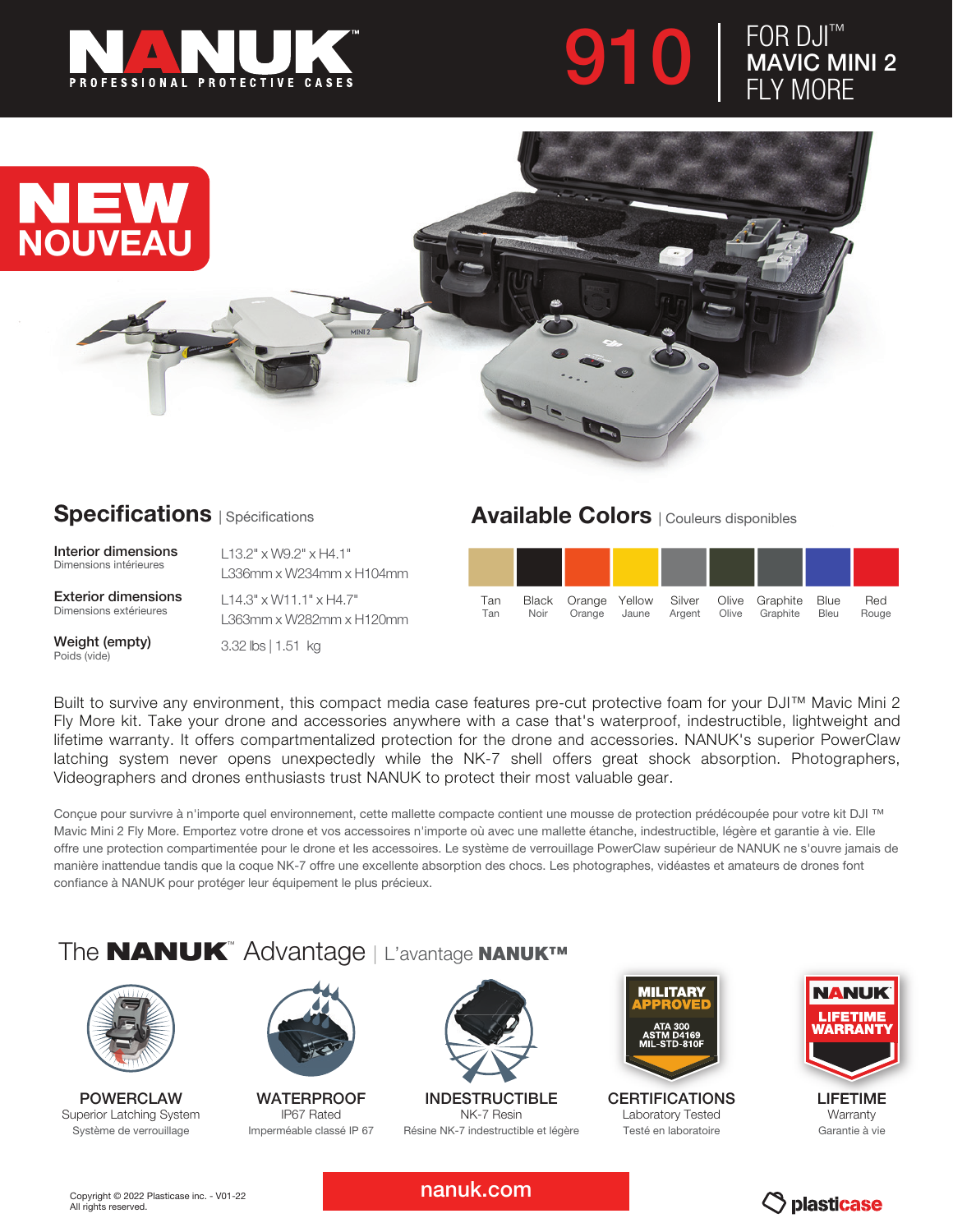





## **Specifications** | Spécifications

Interior dimensions Dimensions intérieures

Exterior dimensions Dimensions extérieures

Weight (empty) Poids (vide)

L13.2" x W9.2" x H4.1" L336mm x W234mm x H104mm

L14.3" x W11.1" x H4.7" L363mm x W282mm x H120mm

3.32 lbs | 1.51 kg

## Available Colors | Couleurs disponibles



Built to survive any environment, this compact media case features pre-cut protective foam for your DJI™ Mavic Mini 2 Fly More kit. Take your drone and accessories anywhere with a case that's waterproof, indestructible, lightweight and lifetime warranty. It offers compartmentalized protection for the drone and accessories. NANUK's superior PowerClaw latching system never opens unexpectedly while the NK-7 shell offers great shock absorption. Photographers, Videographers and drones enthusiasts trust NANUK to protect their most valuable gear.

Conçue pour survivre à n'importe quel environnement, cette mallette compacte contient une mousse de protection prédécoupée pour votre kit DJI ™ Mavic Mini 2 Fly More. Emportez votre drone et vos accessoires n'importe où avec une mallette étanche, indestructible, légère et garantie à vie. Elle offre une protection compartimentée pour le drone et les accessoires. Le système de verrouillage PowerClaw supérieur de NANUK ne s'ouvre jamais de manière inattendue tandis que la coque NK-7 offre une excellente absorption des chocs. Les photographes, vidéastes et amateurs de drones font confiance à NANUK pour protéger leur équipement le plus précieux.

## The **NANUK**™ Advantage | L'avantage NANUK™



POWERCLAW Superior Latching System Système de verrouillage



**WATERPROOF** IP67 Rated Imperméable classé IP 67



INDESTRUCTIBLE NK-7 Resin Résine NK-7 indestructible et légère



**CERTIFICATIONS** Laboratory Tested Testé en laboratoire



LIFETIME **Warranty** Garantie à vie

nanuk.com